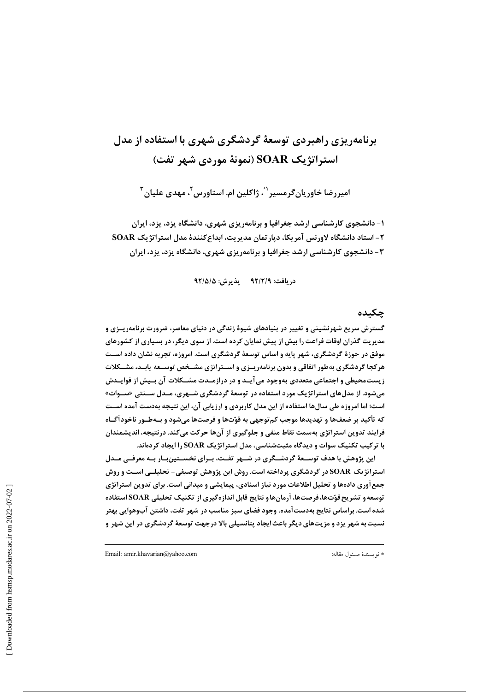# برنامهریزی راهیردی توسعهٔ گردشگری شهری با استفاده از مدل استراتژیک SOAR (نمونهٔ موردی شهر تفت)

اميررضا خاوريان *گ*رمسير <sup>۴</sup>، ژاکلين ام. استاورس <sup>۲</sup>، مهدي عليان <sup>۳</sup>

۱- دانشجوی کارشناسی ارشد جغرافیا و برنامهریزی شهری، دانشگاه پزد، پزد، ایران ۲- استاد دانشگاه لاورنس آمریکا، دپارتمان مدیریت، ابداع کنندهٔ مدل استراتژیک SOAR ۳- دانشجوی کارشناسی ارشد جغرافیا و برنامهریزی شهری، دانشگاه یزد، پزد، ایران

دريافت: ٩٢/٢/٩ يذيرش: ٩٢/٥/٥

#### چکىدە

گسترش سریع شهرنشینی و تغییر در بنیادهای شیوهٔ زندگی در دنیای معاصر، ضرورت برنامهریـزی و مدیریت گذران اوقات فراعت را بیش از پیش نمایان کرده است. از سوی دیگر، در بسیاری از کشورهای موفق در حوزهٔ گردشگری، شهر پایه و اساس توسعهٔ گردشگری است. امروزه، تجربه نشان داده اسـت هرکجا گردشگری بهطور اتفاقی و بدون برنامهریـزی و اسـتراتژی مشـخص توسـعه یابـد، مشــکلات زیست محیطی و اجتماعی متعددی بهوجود می آیـد و در درازمـدت مشــکلات آن بـیش از فوایـدش میشود. از مدلهای استراتژیک مورد استفاده در توسعهٔ گردشگری شـهری، مـدل ســنتی «ســوات» است؛ اما امروزه طی سالها استفاده از این مدل کاربردی و ارزیابی آن، این نتیجه بهدست آمده اسـت که تأکید بر ضعفها و تهدیدها موجب کم توجهی به قوّتها و فرصتها می شود و بـهطـور ناخودآگـاه فرایند تدوین استراتژی بهسمت نقاط منفی و جلوگیری از آنها حرکت میکند. درنتیجه، اندیشمندان با ترکیب تکنیک سوات و دیدگاه مثبتشناسی، مدل استراتژیک SOAR را ایجاد کردهاند.

این پژوهش با هدف توسـعهٔ گردشــگری در شــهر تفــت، بــرای نخســتینبــار بــه معرفــی مــدل استراتژیک SOAR در گردشگری پرداخته است. روش این پژوهش توصیفی- تحلیلــی اســت و روش جمع آوری دادهها و تحلیل اطلاعات مورد نیاز اسنادی، پیمایشی و میدانی است. برای تدوین استراتژی توسعه و تشریح قوّتها،فرصتها، آرمانها و نتایج قابل اندازه گیری از تکنیک تحلیلی SOAR استفاده شده است. براساس نتایج بهدست آمده، وجود فضای سبز مناسب در شهر تفت، داشتن آبوهوایی بهتر نسبت به شهر یزد و مزیتهای دیگر باعث ایجاد پتانسیلی بالا درجهت توسعهٔ گردشگری در این شهر و

Email: amir.khavarian@yahoo.com

\* نويسندة مسئول مقاله: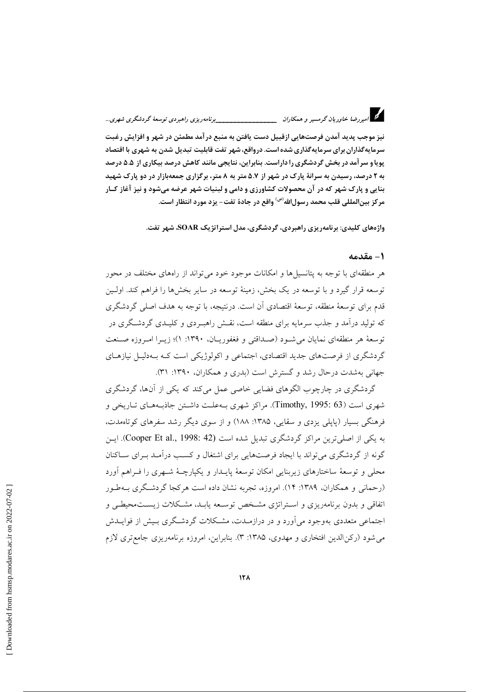# د.<br>در امیر رضا خاوریان گرمسیر و همکاران میستنسسسسسسسسسسسسیرنامه ریزی راهبردی توسعهٔ گردشگری شهری…

نيز موجب پديد آمدن فرصتهايي ازقبيل دست يافتن به منبع در آمد مطمئن در شهر و افزايش رغبت سرمایه گذاران برای سرمایه گذاری شده است. درواقع، شهر تفت قابلیت تبدیل شدن به شهری با اقتصاد پویا و سرآمد در بخش گردشگری را داراست. بنابراین، نتایجی مانند کاهش درصد بیکاری از ۵.۵ درصد به ۲ درصد، رسیدن به سرانهٔ پارک در شهر از ۵.۷ متر به ۸ متر، برگزاری جمعهبازار در دو پارک شهید بنایی و پارک شهر که در آن محصولات کشاورزی و دامی و لبنیات شهر عرضه میشود و نیز آغاز کـار مركز بين|لمللي قلب محمد رسول|لله<sup>(ص)</sup> واقع در جادهٔ تفت- يزد مورد انتظار است.

واژههای کلیدی: برنامهریزی راهبردی، گردشگری، مدل استراتژیک SOAR، شهر تفت.

#### 1 - مقدمه

هر منطقهای با توجه به پتانسیلها و امکانات موجود خود می تواند از راههای مختلف در محور توسعه قرار گیرد و با توسعه در یک بخش، زمینهٔ توسعه در سایر بخشها را فراهم کند. اولـین قدم برای توسعهٔ منطقه، توسعهٔ اقتصادی آن است. درنتیجه، با توجه به هدف اصلی گردشگری که تولید درآمد و جذب سرمایه برای منطقه است، نقــش راهبـردی و کلیــدی گردشــگری در توسعهٔ هر منطقهای نمایان می شـود (صـداقتی و فغفوریـان، ۱۳۹۰: ۱)؛ زیــرا امـروزه صـنعت گردشگری از فرصتهای جدید اقتصادی، اجتماعی و اکولوژیکی است کـه بـهدلیـل نیازهـای جهانی بهشدت درحال رشد و گسترش است (بدری و همکاران، ۱۳۹۰: ۳۱).

گردشگری در چارچوب الگوهای فضایی خاصی عمل می کند که یکی از آنها، گردشگری شهري است (Timothy, 1995: 63). مراكز شهري بــهعلـت داشـتن جاذبــههــاي تــاريخي و فرهنگی بسیار (پایلی یزدی و سقایی، ۱۳۸۵: ۱۸۸) و از سوی دیگر رشد سفرهای کوتاهمدت، به یکی از اصلی ترین مراکز گردشگری تبدیل شده است (Cooper Et al., 1998: 42). این گونه از گردشگری می تواند با ایجاد فرصتهایی برای اشتغال و کسب درآمـد بـرای سـاکنان محلی و توسعهٔ ساختارهای زیربنایی امکان توسعهٔ پایـدار و یکپارچـهٔ شـهری را فـراهم آورد (رحمانی و همکاران، ۱۳۸۹: ۱۴). امروزه، تجربه نشان داده است هرکجا گردشگری بــهطـور اتفاقی و بدون برنامهریزی و استراتژی مشخص توسعه یابـد، مشـكلات زیسـتمحیطـی و اجتماعی متعددی بهوجود می آورد و در درازمـدت، مشـکلات گردشـگری بـیش از فوایــدش می شود (رکن الدین افتخاری و مهدوی، ۱۳۸۵: ۳). بنابراین، امروزه برنامهریزی جامع تری لازم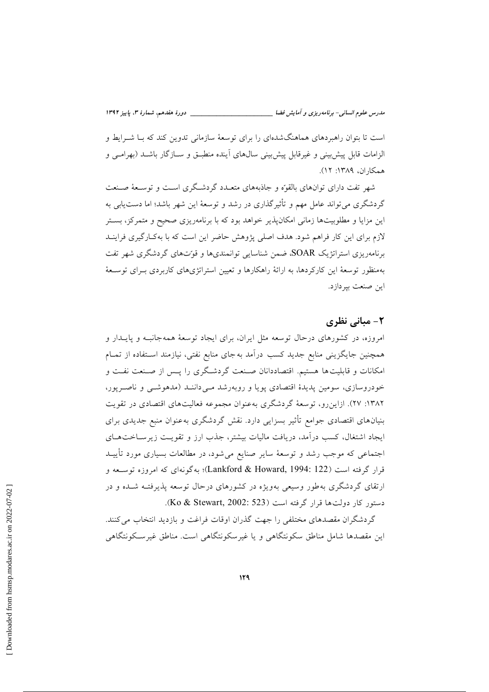مدرس علوم انسانی- برنامه ریزی و آمایش فضا

است تا بتوان راهبردهای هماهنگشدهای را برای توسعهٔ سازمانی تدوین کند که بـا شــرایط و الزامات قابل پیش بینی و غیرقابل پیش بینی سال های آینده منطبــق و ســازگار باشــد (بهرامــی و همكاران، ١٣٨٩: ١٢).

شهر تفت دارای توانهای بالقوّه و جاذبههای متعـدد گردشـگری اسـت و توسـعهٔ صـنعت گردشگری می تواند عامل مهم و تأثیرگذاری در رشد و توسعهٔ این شهر باشد؛ اما دست یابی به این مزایا و مطلوبیتها زمانی امکان پذیر خواهد بود که با برنامهریزی صحیح و متمرکز، بستر لازم برای این کار فراهم شود. هدف اصلی پژوهش حاضر این است که با بهکارگیری فراینـد برنامهریزی استراتژیک SOAR، ضمن شناسایی توانمندیها و قوّتهای گردشگری شهر تفت بهمنظور توسعهٔ این کارکردها، به ارائهٔ راهکارها و تعیین استراتژیهای کاربردی بـرای توسـعهٔ اين صنعت بيردازد.

## ۲- مبانی نظری

امروزه، در کشورهای درحال توسعه مثل ایران، برای ایجاد توسعهٔ همهجانبـه و پایـدار و همچنین جایگزینی منابع جدید کسب درآمد به جای منابع نفتی، نیازمند استفاده از تمـام امکانات و قابلیتها هستیم. اقتصاددانان صنعت گردشگری را پس از صنعت نفت و خودروسازی، سومین پدیدهٔ اقتصادی پویا و روبهرشد مـیcاننـد (مدهوشـی و ناصـرپور، ۱۳۸۲: ۲۷). ازاین٫و، توسعهٔ گردشگری بهعنوان مجموعه فعالیتهای اقتصادی در تقویت بنیانهای اقتصادی جوامع تأثیر بسزایی دارد. نقش گردشگری بهعنوان منبع جدیدی برای ایجاد اشتغال، کسب درآمد، دریافت مالیات بیشتر، جذب ارز و تقویت زیرساختهبای اجتماعی که موجب رشد و توسعهٔ سایر صنایع می شود، در مطالعات بسیاری مورد تأییـد قرار گرفته است (Lankford & Howard, 1994: 122)؛ به گونهای که امروزه توسـعه و ارتقای گردشگری بهطور وسیعی بهویژه در کشورهای درحال توسعه پذیرفتـه شـده و در دستور كار دولت ها قرار گرفته است (Ko & Stewart, 2002: 523).

گردشگران مقصدهای مختلفی را جهت گذران اوقات فراغت و بازدید انتخاب می کنند. این مقصدها شامل مناطق سکونتگاهی و یا غیرسکونتگاهی است. مناطق غیرسکونتگاهی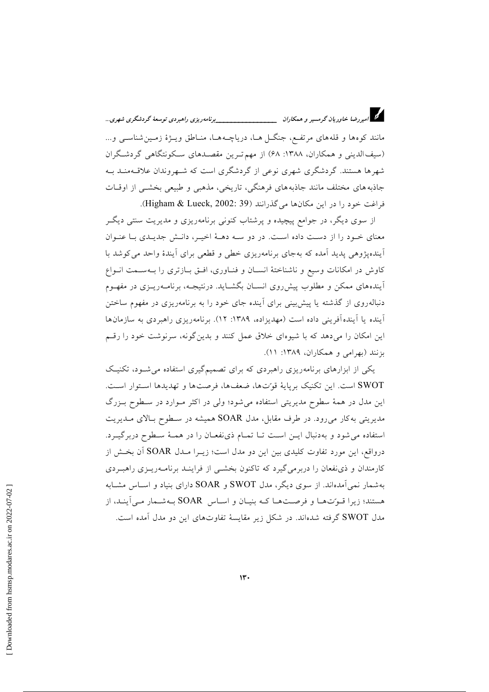د.<br>در امیروضا خاوریان گرمسیر و همکاران میستنسسسسسسسسسسسیرنامهریزی راهبردی توسعهٔ گردشگری شهری… مانند کوهها و قلههای مرتفع، جنگـل هـا، دریاچـههـا، منـاطق ویـژهٔ زمـین شناســ و و... (سیف الدینی و همکاران، ۱۳۸۸: ۶۸) از مهم تـرین مقصـدهای سـکونتگاهی گردشـگران شهرها هستند. گردشگری شهری نوعی از گردشگری است که شـهروندان علاقـهمنــد بــه جاذبه های مختلف مانند جاذبه های فرهنگی، تاریخی، مذهبی و طبیعی بخشـی از اوقـات فراغت خود را در این مکانها میگذرانند (Higham & Lueck, 2002: 39).

از سوی دیگر، در جوامع پیچیده و پرشتاب کنونی برنامهریزی و مدیریت سنتی دیگـر معنای خـود را از دسـت داده اسـت. در دو سـه دهــهٔ اخیــر، دانـش جدیــدی بــا عنــوان آیندهپژوهی پدید آمده که بهجای برنامهریزی خطی و قطعی برای آیندهٔ واحد می کوشد با کاوش در امکانات وسیع و ناشناختهٔ انسـان و فنـاوری، افـق بـازتری را بـهسـمت انـواع آیندههای ممکن و مطلوب پیشرروی انسـان بگشـاید. درنتیجـه، برنامـهریــزی در مفهــوم دنباله٫وی از گذشته یا پیشبینی برای اَینده جای خود را به برنامه٫یزی در مفهوم ساختن آینده یا آیندهآفرینی داده است (مهدیزاده، ۱۳۸۹: ۱۲). برنامهریزی راهبردی به سازمانها این امکان را میدهد که با شیوهای خلاق عمل کنند و بدینگونه، سرنوشت خود را رقم بزنند (بهرامی و همکاران، ۱۳۸۹: ۱۱).

یکی از ابزارهای برنامهریزی راهبردی که برای تصمیمگیری استفاده می شـود، تکنیـک SWOT است. این تکنیک برپایهٔ قوتها، ضعفها، فرصتها و تهدیدها استوار است. این مدل در همهٔ سطوح مدیریتی استفاده میشود؛ ولی در اکثر مـوارد در سـطوح بـزرگ مدیریتی به کار میرود. در طرف مقابل، مدل SOAR همیشه در سطوح بالای مـدیریت استفاده می شود و به دنبال ایـن اسـت تـا تمـام ذی نفعـان را در همـهٔ سـطوح دربرگیـرد. درواقع، این مورد تفاوت کلیدی بین این دو مدل است؛ زیــرا مــدل SOAR آن بخــش از کارمندان و ذی نفعان را دربرمی گیرد که تاکنون بخشـی از فراینـد برنامـهریـزی راهبـردی بهشمار نمی آمدهاند. از سوی دیگر، مدل SWOT و SOAR دارای بنیاد و اســاس مشــابه هستند؛ زیرا قوتِ ها و فرصتها کـه بنیـان و اسـاس SOAR بـهشـمار مـىآینـد، از مدل SWOT گرفته شدهاند. در شکل زیر مقایسهٔ تفاوتهای این دو مدل آمده است.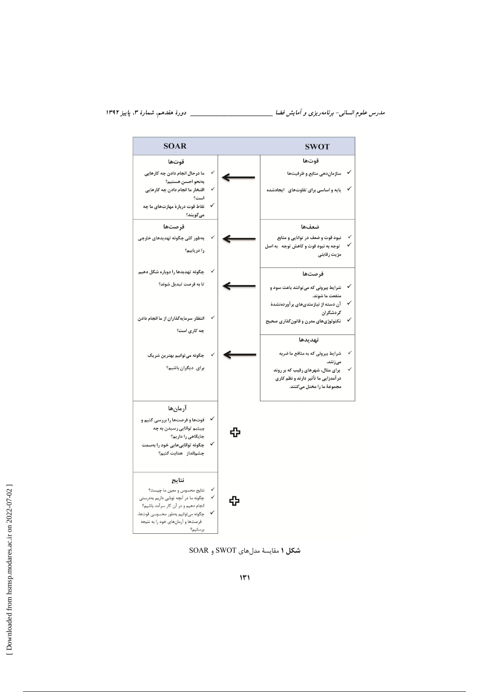

شكل ١ مقايسة مدلهاي SWOT و SOAR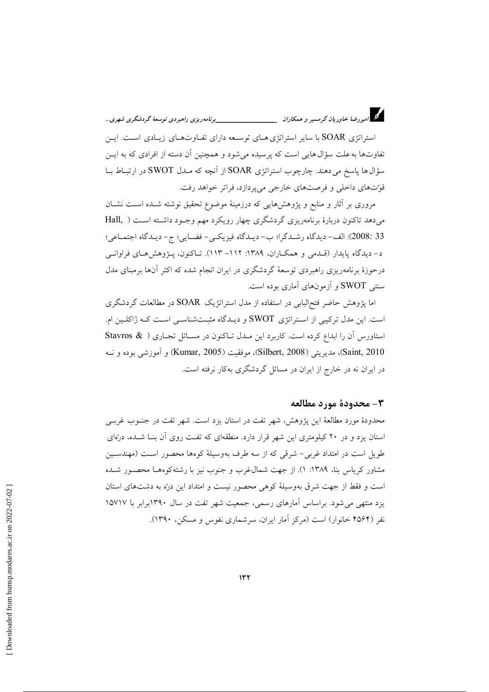

استراتژی SOAR با سایر استراتژی هـای توسـعه دارای تفـاوتهـای زیـادی اسـت. ایـن تفاوتها به علت سؤال هایی است که پرسیده می شود و همچنین آن دسته از افرادی که به ایــز سؤال ها پاسخ می دهند. چارچوب استراتژی SOAR از آنچه که مـدل SWOT در ارتبـاط بـا قوّتهای داخلی و فرصتهای خارجی میپردازد، فراتر خواهد رفت.

مروری بر آثار و منابع و پژوهشهایی که درزمینهٔ موضوع تحقیق نوشته شـده اسـت نشـان میدهد تاکنون دربارهٔ برنامهریزی گردشگری چهار رویکرد مهم وجـود داشـته اسـت ( Hall, 33 :2008): الف- ديدگاه رشـدگرا؛ ب- ديـدگاه فيزيكـي- فضـايي؛ ج- ديـدگاه اجتمـاعي؛ د- ديدگاه پايدار (قـدمي و همكـاران، ١٣٨٩: ١١٢– ١١٣). تـاكنون، پـژوهش هـاي فراوانـي درحوزهٔ برنامهریزی راهبردی توسعهٔ گردشگری در ایران انجام شده که اکثر آنها برمبنای مدل سنتی SWOT و آزمونهای آماری بوده است.

اما پژوهش حاضر فتح البابی در استفاده از مدل استراتژیک SOAR در مطالعات گردشگری است. این مدل ترکیبی از استراتژی SWOT و دیـدگاه مثبـتشناسـی اسـت کـه ژاکلـین ام. استاورس آن را ابداع کرده است. کاربرد این مـدل تـاکنون در مسـائل تجـاری ( & Stavros Saint, 2010)، مديريتي (Silbert, 2008)، موفقيت (Kumar, 2005) و آموزشي بوده و نــه در ایران نه در خارج از ایران در مسائل گردشگری بهکار نرفته است.

#### ٣- محدودة مورد مطالعه

محدودهٔ مورد مطالعهٔ این پژوهش، شهر تفت در استان پزد است. شهر تفت در جنـوب غربـی استان یزد و در ۲۰ کیلومتری این شهر قرار دارد. منطقهای که تفت روی آن بنــا شــده، درّمای طویل است در امتداد غربی- شرقی که از سه طرف بهوسیلهٔ کوهها محصور است (مهندسـین مشاور کریاس بنا، ۱۳۸۹: ۱). از جهت شمال غرب و جنوب نیز با رشته کوهها محصور شـده است و فقط از جهت شرق بهوسیلهٔ کوهی محصور نیست و امتداد این درّه به دشتهای استان یزد منتهی می شود. براساس آمارهای رسمی، جمعیت شهر تفت در سال ۱۳۹۰برابر با ۱۵۷۱۷ نفر (۴۵۶۴ خانوار) است (مرکز آمار ایران، سرشماری نفوس و مسکن، ۱۳۹۰).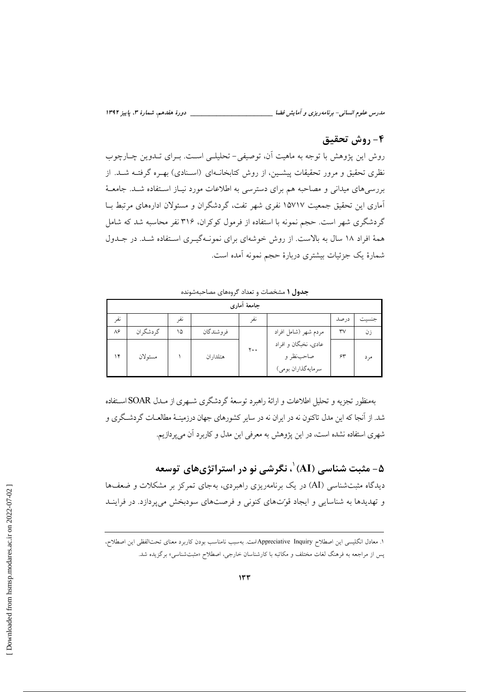مدرس علوم انسانی- برنامه ریزی و آمایش فضا

## ۴- روش تحقیق

روش این پژوهش با توجه به ماهیت آن، توصیفی- تحلیلـی اسـت. بــرای تــدوین چــارچوب نظری تحقیق و مرور تحقیقات پیشـین، از روش کتابخانـهای (اسـنادی) بهـره گرفتـه شـد. از بررسیهای میدانی و مصاحبه هم برای دسترسی به اطلاعات مورد نیـاز اسـتفاده شـد. جامعـهٔ آماری این تحقیق جمعیت ۱۵۷۱۷ نفری شهر تفت، گردشگران و مسئولان ادارههای مرتبط بـا گردشگری شهر است. حجم نمونه با استفاده از فرمول کوکران، ۳۱۶ نفر محاسبه شد که شامل همهٔ افراد ۱۸ سال به بالاست. از روش خوشهای برای نمونـهگیـری اسـتفاده شـد. در جـدول شمارهٔ یک جزئیات بیشتری دربارهٔ حجم نمونه آمده است.

جدول ۱ مشخصات و تعداد گروههای مصاحبهشونده

| جامعهٔ أماری |            |    |            |                |                                                          |                        |       |
|--------------|------------|----|------------|----------------|----------------------------------------------------------|------------------------|-------|
| نفر          |            | نف |            | نف             |                                                          | در صد                  | جنسيت |
| ٨۶           | گر دشگر ان | ۱۵ | فر وشندگان |                | مردم شهر (شامل افراد                                     | $\mathsf{r}\mathsf{v}$ | ز ن   |
| ۱۴           | مسئولان    |    | هتلداران   | $\mathbf{y}$ . | عادی، نخبگان و افراد<br>صاحبنظر و<br>سرمايه گذاران بومي) | ۶۳                     | مہ د  |

بهمنظور تجزیه و تحلیل اطلاعات و ارائهٔ راهبرد توسعهٔ گردشگری شـهری از مـدل SOAR اسـتفاده شد. از آنجا که این مدل تاکنون نه در ایران نه در سایر کشورهای جهان درزمینـهٔ مطالعــات گردشــگری و شهری استفاده نشده است، در این پژوهش به معرفی این مدل و کاربرد آن می پردازیم.

ه – مثبت شناسی  $\langle {\rm AI}\rangle$ ، نگرشے ِ نو در استراتژی های ِ توسعه  $-$ ۵

دیدگاه مثبتشناسی (AI) در یک برنامهریزی راهبردی، بهجای تمرکز بر مشکلات و ضعفها و تهدیدها به شناسایی و ایجاد قوّتهای کنونی و فرصتهای سودبخش میپردازد. در فراینـد

١. معادل انگلیسی این اصطلاح Appreciative Inquiryمالست. بهسبب نامناسب بودن كاربرد معنای تحتالفظی این اصطلاح، یس از مراجعه به فرهنگ لغات مختلف و مکاتبه با کارشناسان خارجی، اصطلاح «مثبتشناسی» برگزیده شد.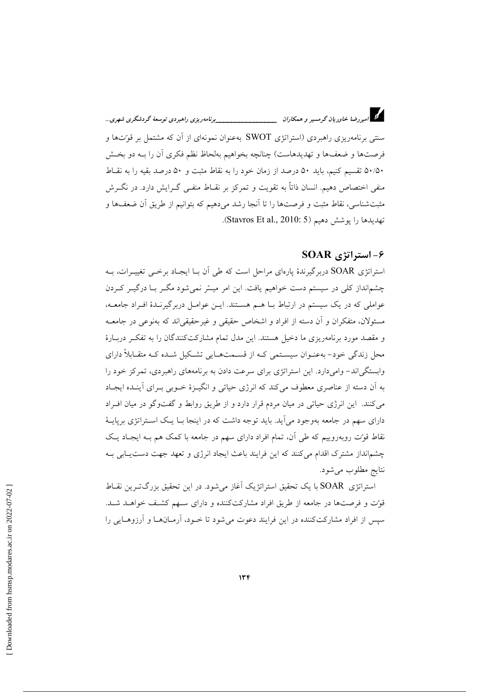سنتمی برنامهریزی راهبردی (استراتژی SWOT بهعنوان نمونهای از آن که مشتمل بر قوتتها و فرصتها و ضعفها و تهدیدهاست) چنانچه بخواهیم بهلحاظ نظم فکری آن را بـه دو بخــش ۵۰/۵۰ تقسیم کنیم، باید ۵۰ درصد از زمان خود را به نقاط مثبت و ۵۰ درصد بقیه را به نقـاط منفی اختصاص دهیم. انسان ذاتاً به تقویت و تمرکز بر نقــاط منفــی گــرایش دارد. در نگــرش مثبتشناسی، نقاط مثبت و فرصتها را تا آنجا رشد میدهیم که بتوانیم از طریق آن ضعفها و تهديدها را يوشش دهيم (Stavros Et al., 2010: 5).

#### ۶- استراتژی SOAR

استراتژی SOAR دربرگیرندهٔ پارهای مراحل است که طی آن بـا ایجـاد برخــی تغییــرات، بــه چشم|نداز کلی در سیستم دست خواهیم یافت. این امر میسّر نمیشود مگـر بــا درگیــر کــردن عواملی که در یک سیستم در ارتباط بــا هــم هســتند. ایــن عوامــل دربرگیرنــدهٔ افــراد جامعــه، .<br>مسئولان، متفكران و أن دسته از افراد و اشخاص حقيقي و غيرحقيقي|ند كه بهنوعي در جامعــه و مقصد مورد برنامهریزی ما دخیل هستند. این مدل تمام مشارکتکنندگان را به تفکر دربـارهٔ محل زندگی خود- بهعنـوان سیسـتمی کـه از قسـمتهـایی تشـکیل شـده کـه متقـابلاً دارای وابستگیاند- وامیدارد. این استراتژی برای سرعت دادن به برنامههای راهبردی، تمرکز خود را به اّن دسته از عناصری معطوف می کند که انرژی حیاتی و انگیــزهٔ خــوبی بــرای اّینــده ایجــاد می کنند. این انرژی حیاتی در میان مردم قرار دارد و از طریق روابط و گفتوگو در میان افـراد دارای سهم در جامعه بهوجود می آید. باید توجه داشت که در اینجا بــا یــک اســتراتژی برپایــهٔ نقاط قوّت روبهروییم که طی آن، تمام افراد دارای سهم در جامعه با کمک هم بـه ایجـاد یـک چشم|نداز مشترک اقدام می کنند که این فرایند باعث ایجاد انرژی و تعهد جهت دست پیابی بـه نتايج مطلوب مي شود.

استراتژی SOAR با یک تحقیق استراتژیک آغاز می شود. در این تحقیق بزرگترین نقـاط قوّت و فرصتها در جامعه از طریق افراد مشارکتکننده و دارای سـهم کشـف خواهـد شـد. سپس از افراد مشارکتکننده در این فرایند دعوت می شود تا خــود، آرمــانهــا و آرزوهــایی را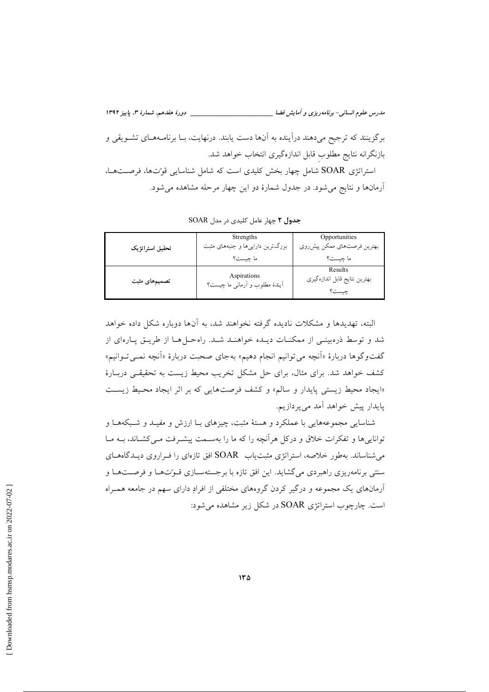مدرس علوم انسانی- برنامهریزی و آمایش فضا برگزينند كه ترجيح مي دهند درآينده به آنها دست يابند. درنهايت، بــا برنامــههــاي تشــويقى و بازنگرانه نتايج مطلوب قابل اندازهگيري انتخاب خواهد شد. استراتژی SOAR شامل چهار بخش کلیدی است که شامل شناسایی قوت ها، فرصتها، آرمانها و نتایج می شود. در جدول شمارهٔ دو این چهار مرحله مشاهده می شود.

|                 | Strengths                                     | Opportunities                 |
|-----------------|-----------------------------------------------|-------------------------------|
| تحقيق استراتژيک | بزرگترین داراییها و جنبههای مثبت              | بهترین فرصتهای ممکن پیشروی    |
|                 | ما چيست؟                                      | ما چيست؟                      |
|                 |                                               | Results                       |
| تصمیمهای مثبت   | Aspirations<br>آیندهٔ مطلوب و آرمانی ما چیست؟ | بهترين نتايج قابل اندازه گيري |
|                 |                                               | چست؟                          |

SOAR جدول ٢ چهار عامل كليدى در مدل

البته، تهدیدها و مشکلات نادیده گرفته نخواهند شد، به آنها دوباره شکل داده خواهد شد و توسط ذرهبینی از ممکنـات دیـده خواهنـد شـد. راهحـل هـا از طریـق یـارهای از گفتوگوها دربارهٔ «اَنچه می توانیم انجام دهیم» بهجای صحبت دربارهٔ «اَنچه نمـی تـوانیم» کشف خواهد شد. برای مثال، برای حل مشکل تخریب محیط زیست به تحقیقی دربـارهٔ «ایجاد محیط زیستی پایدار و سالم» و کشف فرصتهایی که بر اثر ایجاد محیط زیست پایدار پیش خواهد آمد میپردازیم.

شناسایی مجموعههایی با عملکرد و هستهٔ مثبت، چیزهای بـا ارزش و مفیـد و شـبکههـا و توانایی ها و تفکرات خلاق و درکل هرآنچه را که ما را بهسـمت پیشـرفت مـی کشـاند، بــه مــا می شناساند. بهطور خلاصه، استراتژی مثبت پاپ SOAR افق تازمای را فیراروی دیپدگاههیای سنتي برنامهريزي راهبردي مي گشايد. اين افق تازه با برجستهسـازي قـوِّتهـا و فرصــتهـا و آرمانهای یک مجموعه و درگیر کردن گروههای مختلفی از افرادِ دارای سهم در جامعه همـراه است. چارچوب استراتژی SOAR در شکل زیر مشاهده می شود: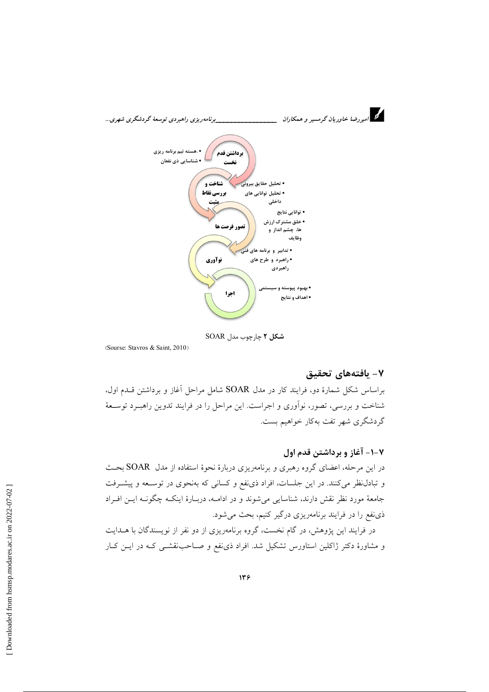

شکل ۲ چارچوب مدل SOAR

(Sourse: Stavros & Saint, 2010)

## ٧- بافتەھای تحقیق

براساس شکل شمارهٔ دو، فرایند کار در مدل SOAR شامل مراحل آغاز و برداشتن قلدم اول، شناخت و بررسی، تصور، نوآوری و اجراست. این مراحل را در فرایند تدوین راهبـرد توسـعهٔ گردشگری شهر تفت بهکار خواهیم بست.

۰۱-۲- آغاز و برداشتن قدم اول در این مرحله، اعضای گروه رهبری و برنامهریزی دربارهٔ نحوهٔ استفاده از مدل SOAR بحث و تبادل نظر میکنند. در این جلسات، افراد ذی نفع و کسانی که بهنحوی در توسـعه و پیشــرفت جامعهٔ مورد نظر نقش دارند، شناسایی می شوند و در ادامــه، دربــارهٔ اینکــه چگونــه ایــن افــراد ذي نفع را در فرايند برنامهريزي درگير كنيم، بحث مي شود.

در فرایند این پژوهش، در گام نخست، گروه برنامهریزی از دو نفر از نویسندگان با هــدایت و مشاورهٔ دکتر ژاکلین استاورس تشکیل شد. افراد ذی نفع و صـاحب:قشــی کـه در ایــن کــار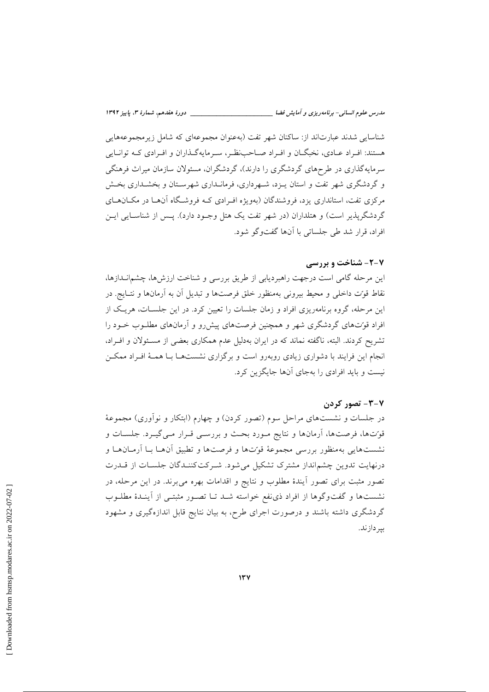مدرس علوم انسانی- برنامهریزی و آمایش فضا \_\_

شناسایی شدند عبارتاند از: ساکنان شهر تفت (بهعنوان مجموعهای که شامل زیر مجموعههایی هستند: افـراد عــادي، نخبگــان و افــراد صــاحبنظـر، ســرمايهگــذاران و افــرادي كــه توانــايي سرمایهگذاری در طرحهای گردشگری را دارند)، گردشگران، مسئولان سازمان میراث فرهنگی و گردشگری شهر تفت و استان پیزد، شیهرداری، فرمانیداری شهرستان و بخشیداری بخش مرکزی تفت، استانداری یزد، فروشندگان (بهویژه اف ادی کـه فروشـگاه آنهــا در مکــانهــای گردشگریذیر است) و هتلداران (در شهر تفت یک هتل وجـود دارد). پـس از شناسـایی ایـن افراد، قرار شد طي جلساتي با آنها گفتوگو شود.

#### **2-2- شناخت و بررسی**

این مرحله گامی است درجهت راهبردیابی از طریق بررسی و شناخت ارزشها، چشمانــدازها، نقاط قوّت داخلی و محیط بیرونی بهمنظور خلق فرصتها و تبدیل آن به آرمانها و نتـایج. در این مرحله، گروه برنامهریزی افراد و زمان جلسات را تعیین کرد. در این جلسـات، هریـک از افراد قوتحای گردشگری شهر و همچنین فرصتهای پیش رو و آرمانهای مطلـوب خـود را تشریح کردند. البته، ناگفته نماند که در ایران بهدلیل عدم همکاری بعضی از مسئولان و افـراد، انجام این فرایند با دشواری زیادی روبهرو است و برگزاری نشستهـا بـا همـهٔ افـراد ممکـن نیست و باید افرادی را بهجای آنها جایگزین کرد.

#### ۰٫۷– تصور کردن

در جلسات و نشستهای مراحل سوم (تصور کردن) و چهارم (ابتکار و نوآوری) مجموعهٔ قوّتها، فرصتها، اَرمانها و نتایج مـورد بحـث و بررسـی قـرار مـیگیـرد. جلسـات و نشستهايي بهمنظور بررسي مجموعهٔ قوّتها و فرصتها و تطبيق آنهـا بـا آرمـانهـا و درنهایت تدوین چشمانداز مشترک تشکیل می شود. شـرکتکننـدگان جلسـات از قــدرت تصور مثبت برای تصور آیندهٔ مطلوب و نتایج و اقدامات بهره میبرند. در این مرحله، در نشستها و گفتوگوها از افراد ذی نفع خواسته شـد تـا تصـور مثبتـی از آینـدهٔ مطلـوب گردشگری داشته باشند و درصورت اجرای طرح، به بیان نتایج قابل اندازهگیری و مشهود بير دازند.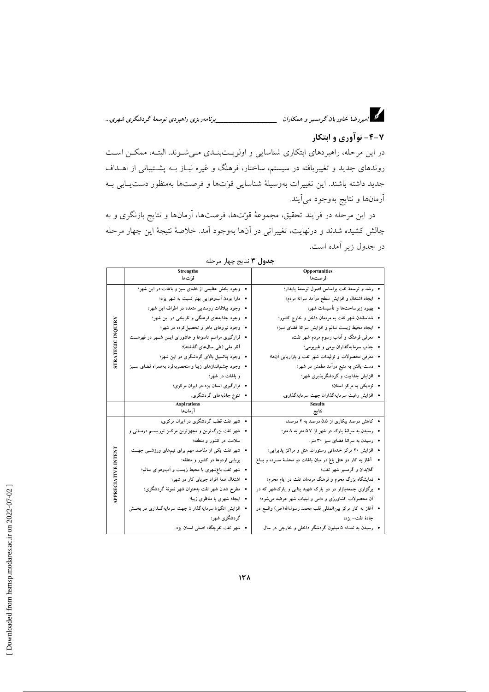# د.<br>در امیررضا خاوریان گرمسیر و همکاران میسیسیسیسیسیسیسیسی برنامه ریزی راهبردی توسعهٔ گردشگری شهری…

# ۴-۲- نوآوری و ابتکار

در این مرحله، راهبردهای ابتکاری شناسایی و اولویــتبنــدی مــیشــوند. البتــه، ممکــن اســت روندهای جدید و تغییریافته در سیستم، ساختار، فرهنگ و غیره نیـاز بــه پشــتیبانی از اهــداف جديد داشته باشند. اين تغييرات بهوسيلة شناسايي قوتها و فرصتها بهمنظور دستيابي بـه آرمانها و نتايج بهوجود ميآيند.

در این مرحله در فرایند تحقیق، مجموعهٔ قوّتها، فرصتها، آرمانها و نتایج بازنگری و به چالش کشیده شدند و درنهایت، تغییراتی در آنها بهوجود آمد. خلاصهٔ نتیجهٔ این چهار مرحله در جدول زیر آمده است.

|                          | <b>Strengths</b>                                             | Opportunities                                                       |
|--------------------------|--------------------------------------------------------------|---------------------------------------------------------------------|
|                          | قوِّت ها                                                     | فرصتها                                                              |
|                          | • وجود بخش عظیمی از فضای سبز و باغات در این شهر؛             | •   رشد و توسعهٔ تفت براساس اصول توسعهٔ پایدار؛                     |
|                          | • دارا بودن آبوهوایی بهتر نسبت به شهر یزد؛                   | • ایجاد اشتغال و افزایش سطح درآمد سرانهٔ مردم؛                      |
|                          | • وجود بیلاقات روستایی متعدد در اطراف این شهر؛               | • بهبود زیرساختها و تأسیسات شهر؛                                    |
|                          | • وجود جاذبههای فرهنگی و تاریخی در این شهر؛                  | •   شناساندن شهر تفت به مردمان داخل و خارج کشور؛                    |
| <b>STRATEGIC INQUIRY</b> | • وجود نیروهای ماهر و تحصیل کرده در شهر؛                     | • ايجاد محيط زيست سالم و افزايش سرانة فضاى سبز؛                     |
|                          | • قرارگیری مراسم تاسوعا و عاشورای ایسن شـهر در فهرســت       | • معرفی فرهنگ و اَداب رسوم مردم شهر تفت؛                            |
|                          | آثار ملی (طی سال،های گذشته)؛                                 | • جذب سرمایهگذاران بومی و غیربومی؛                                  |
|                          | •   وجود پتانسیل بالای گردشگری در این شهر؛                   | •   معرفی محصولات و تولیدات شهر تفت و بازاریابی آن۱ها؛              |
|                          | •   وجود چشم ندازهای زیبا و منحصربهفرد بههمراه فضای ســبز    | •   دست یافتن به منبع درآمد مطمئن در شهر؛                           |
|                          | و باغات در شهر؛                                              | • افزایش جذایبت و گردشگرپذیری شهر؛                                  |
|                          | • قرارگیری استان یزد در ایران مرکزی؛                         | • نزدیکی به مرکز استان؛                                             |
|                          | • تنوع جاذبههای گردشگری.                                     | • افزایش رغبت سرمایهگذاران جهت سرمایهگذاری.                         |
|                          |                                                              |                                                                     |
|                          | <b>Aspirations</b><br>آر مان ها                              | نتايج                                                               |
|                          | • شهر تفت قطب گردشگری در ایران مرکزی؛                        | • کاهش درصد بیکاری از ۵.۵ درصد به ۲ درصد؛                           |
|                          | •   شهر تفت بزرگ ترین و مجهزترین مرکــز توریســم درمــانـی و | •   رسیدن به سرانهٔ پارک در شهر از ۵.۷ متر به ۸ متر؛                |
|                          | سلامت در کشور و منطقه؛                                       | • رسیدن به سرانهٔ فضای سبز ۳۰ متر.                                  |
|                          | •   شهر نفت یکی از مقاصد مهم برای تیمهای ورزشــی جهــت       | • افزایش ۲۰ مرکز خدماتی رستوران، هتل و مراکز پذیرایی؛               |
|                          | برپایی اردوها در کشور و منطقه؛                               | •    آغاز به کار دو هتل باغ در میان باغات دو محلــهٔ ســرده و بــاغ |
|                          | •   شهر تفت باغشهری با محیط زیست و آبوهوای سالم؛             | گلابدان و گرمسیر شهر تفت؛                                           |
|                          | • اشتغال همهٔ افراد جویای کار در شهر؛                        | •   نمایشگاه بزرگ محرم و فرهنگ مردمان تفت در ایام محرم؛             |
|                          | • مطرح شدن شهر تفت بهعنوان شهر نمونهٔ گردشگری؛               | • برگزاری جمعهبازار در دو پارک شهید بنایی و پارکشهر که در           |
| <b>APPRECIATIVE</b>      | • ایجاد شهری با مناظری زیبا؛                                 | آن محصولات کشاورزی و دامی و لبنیات شهر عرضه می شود؛                 |
|                          | • افزایش انگیزهٔ سرمایهگذاران جهت سرمایهگـذاری در بخـش       | •   أغاز به كار مركز بينالمللي قلب محمد رسول।لله(ص) واقــع در       |
|                          | گردشگری شهر؛                                                 | جادۂ تفت– یزد؛                                                      |

جدول ٣ نتايج چهار مرحله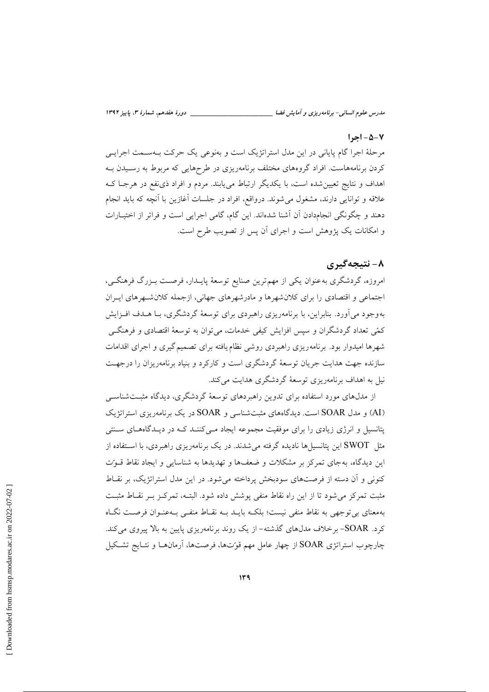#### $| -\Delta - V|$

مرحلهٔ اجرا گام پایانی در این مدل استراتژیک است و بهنوعی یک حرکت بـهسـمت اجرایــی کردن برنامههاست. افراد گروههای مختلف برنامهریزی در طرحهایی که مربوط به رسـیدن بـه اهداف و نتایج تعیین شده است، با یکدیگر ارتباط می پابند. مردم و افراد ذی نفع در هرجـا ک علاقه و توانایی دارند، مشغول میشوند. درواقع، افراد در جلسات اَغازین با اَنچه که باید انجام دهند و چگونگی انجامدادن اَن اَشنا شدهاند. این گام، گامی اجرایی است و فراتر از اختیــارات و امکانات یک پژوهش است و اجرای آن پس از تصویب طرح است.

# ۸- نتیجهگیری

امروزه، گردشگری به عنوان یکی از مهم ترین صنایع توسعهٔ پایــدار، فرصــت بــزرگ فرهنگــی، اجتماعی و اقتصادی را برای کلان شهرها و مادرشهرهای جهانی، ازجمله کلان شهرهای ایـران بهوجود می آورد. بنابراین، با برنامهریزی راهبردی برای توسعهٔ گردشگری، بـا هــدف افــزایش کمّی تعداد گردشگران و سیس افزایش کیفی خدمات، میتوان به توسعهٔ اقتصادی و فرهنگــی شهرها امیدوار بود. برنامهریزی راهبردی روشی نظام یافته برای تصمیم گیری و اجرای اقدامات سازنده جهت هدایت جریان توسعهٔ گردشگری است و کارکرد و بنیاد برنامهریزان را درجهت نیل به اهداف برنامهریزی توسعهٔ گردشگری هدایت می کند.

از مدلهای مورد استفاده برای تدوین راهبردهای توسعهٔ گردشگری، دیدگاه مثبتشناسی (AI) و مدل SOAR است. دیدگاههای مثبتشناسی و SOAR در یک برنامهریزی استراتژیک پتانسیل و انرژی زیادی را برای موفقیت مجموعه ایجاد مـیکننـد کـه در دیـدگاههـای سـنتی مثل SWOT این پتانسپل ها نادیده گرفته می شدند. در یک برنامهریزی راهبردی، با اسـتفاده از این دیدگاه، بهجای تمرکز بر مشکلات و ضعفها و تهدیدها به شناسایی و ایجاد نقاط قـوتِ کنونی و آن دسته از فرصتهای سودبخش پرداخته میشود. در این مدل استراتژیک، بر نقـاط مثبت تمركز مى شود تا از اين راه نقاط منفى پوشش داده شود. البتـه، تمركـز بـر نقــاط مثبـت بهمعنای بی توجهی به نقاط منفی نیست؛ بلکـه بایـد بـه نقـاط منفـی بـهعنـوان فرصـت نگـاه کرد. SOAR- برخلاف مدلهای گذشته- از یک روند برنامهریزی پایین به بالا پیروی می کند. چارچوب استراتژی SOAR از چهار عامل مهم قوت۱ها، فرصتها، آرمانهـا و نتــایج تشــکیل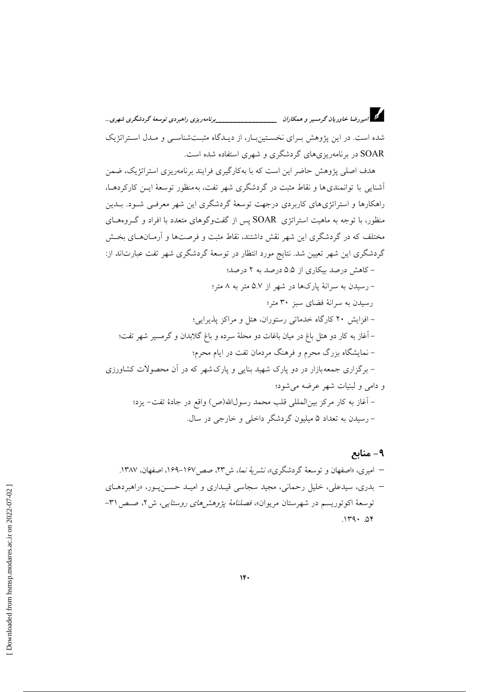شده است. در این یژوهش بـرای نخسـتینبـار، از دیـدگاه مثبـتشناسـی و مـدل اسـتراتژیک SOAR در برنامهریزیهای گردشگری و شهری استفاده شده است.

هدف اصلی پژوهش حاضر این است که با بهکارگیری فرایند برنامهریزی استراتژیک، ضمن أشنايي با توانمنديها و نقاط مثبت در گردشگري شهر تفت، بهمنظور توسعهٔ ايـن كاركردهـا، راهکارها و استراتژیهای کاربردی درجهت توسعهٔ گردشگری این شهر معرفـی شـود. بــدین منظور، با توجه به ماهیت استراتژی SOAR پس از گفتوگوهای متعدد با افراد و گـروههـای مختلف که در گردشگری این شهر نقش داشتند، نقاط مثبت و فرصتها و آرمـانهـای بخـش گردشگری این شهر تعیین شد. نتایج مورد انتظار در توسعهٔ گردشگری شهر تفت عبارتاند از: – کاهش درصد بیکاری از ۵.۵ درصد به ۲ درصد؛

– رسیدن به سرانهٔ یارکها در شهر از ۵.۷ متر به ۸ متر؛ رسیدن به سرانهٔ فضای سبز ۳۰ متر؛ – افزایش ۲۰ کارگاه خدماتی رستوران، هتل و مراکز پذیرایی؛ – آغاز به کار دو هتل باغ در میان باغات دو محلهٔ سرده و باغ گلابدان و گرمسیر شهر تفت؛ – نمایشگاه بزرگ محرم و فرهنگ مردمان تفت در ایام محرم؛ – برگزاری جمعهبازار در دو پارک شهید بنایی و پارکشهر که در آن محصولات کشاورزی و دامې و لبنيات شهر عرضه مې شود؛ – آغاز به كار مركز بين|لمللي قلب محمد رسول|لله(ص) واقع در جادهٔ تفت– يزد؛ – رسیدن به تعداد ۵ میلیون گردشگر داخلی و خارجی در سال.

۹- منابع – امیری، «اصفهان و توسعهٔ گردشگری»، نشیریهٔ نما، ش۳۲، صص۱۶۷–۱۶۹، اصفهان، ۱۳۸۷. – بدری، سیدعلی، خلیل رحمانی، مجید سجاسی قیـداری و امیـد حسـنپـور، «راهبردهـای توسعهٔ اکوتوریسم در شهرستان مریوان»، فصلنامهٔ یژوهشرهای روستایی، ش ۲، صص ۳۱- $.114.04$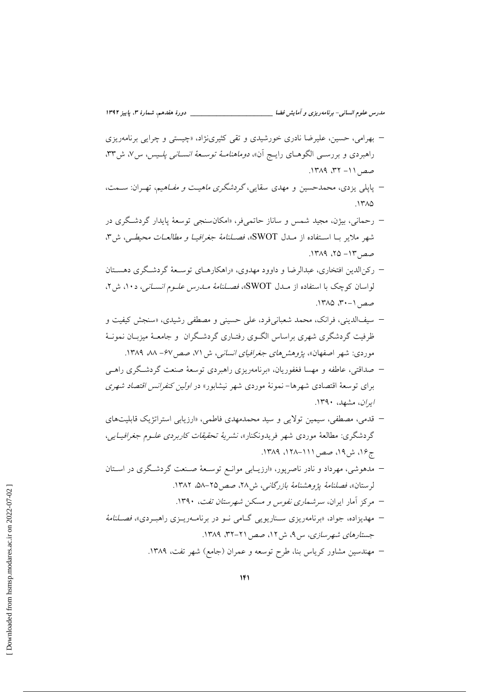- بهرامی، حسین، علیرضا نادری خورشیدی و تقی کثیرینژاد، «چیستی و چرایی برنامهریزی راهبردی و بررســی الگوهــای رایــج أن» *دوماهنامــهٔ توســعهٔ انســانـی پلــیس،* س٧، ش٣٣، صص ١١- ٣٢، ١٣٨٩.
- پاپل<sub>ی</sub> یزدی، محمدحسین و مهدی سقایی،گرد*شگری ماهیـت و مفـاهیم*، تهـران: ســمت،  $1710$
- رحماني، بيژن، مجيد شمس و ساناز حاتمي فر، «امكانسنجي توسعهٔ پايدار گردشگري در شهر ملاير بـا اسـتفاده از مــدل SWOT»، فصــلنامهٔ جغرافيـا و مطالعــات محيطــي، ش٣، صص ١٣- ٢۵، ١٣٨٩.
- رکن الدین افتخاری، عبدالرضا و داوود مهدوی، «راهکارهـای توسـعهٔ گردشـگری دهسـتان لواسان کوچک با استفاده از مــدل SWOT»، فصــلنامهٔ مــدرس علـوم *انســاني*، د ۱۰، ش ۲، صص ١-٣٠، ١٣٨٥.
- سيفالديني، فرانک، محمد شعباني فرد، على حسيني و مصطفى رشيدي، «سنجش كيفيت و ظرفیت گردشگری شهری براساس الگـوی رفتـاری گردشـگران و جامعـهٔ میزبـان نمونـهٔ موردی: شهر اصفهان»، *پژوهشهای جغرافیای انسانی*، ش ۷۱، صص۷۶– ۸۸، ۱۳۸۹.
- صداقتی، عاطفه و مهسا فغفوریان، «برنامهریزی راهبردی توسعهٔ صنعت گردشگری راهبی برای توسعهٔ اقتصادی شهرها– نمونهٔ موردی شهر نیشابور» در *اولین کنفرانس اقتصاد شهری* اران، مشهد، ۱۳۹۰.
- قدمی، مصطفی، سیمین تولایی و سید محمدمهدی فاطمی، «ارزیابی استراتژیک قابلیتهای گردشگری: مطالعهٔ موردی شهر فریدونکنار»، *نشریهٔ تحقیقات کاربردی علـوم جغرافیـای*ی، ج۱۶، ش۱۹، صص ۱۱۱–۱۲۸۸، ۱۳۸۹.
- مدهوشی، مهرداد و نادر ناصریور، «ارزیـابی موانـع توسـعهٔ صـنعت گردشـگری در اسـتان لرستان»، فصلنامهٔ يژوهشنامهٔ بازرگانی، ش ۲۸، صص ۲۵-۵۸، ۱۳۸۲.
	- مرکز آمار ایران، *سرشماری نفوس و مسکن شهرستان تفت، ۱*۳۹۰.
- مهدیزاده، جواد، «برنامهریزی سـناریویی گــامی نــو در برنامــهریــزی راهبـردی»، فصــلنامهٔ جستارهای شهرسازی، س ۹، ش ۱۲، صص ۲۱-۳۲، ۱۳۸۹.
	- مهندسین مشاور کریاس بنا، طرح توسعه و عمران (جامع) شهر تفت، ۱۳۸۹.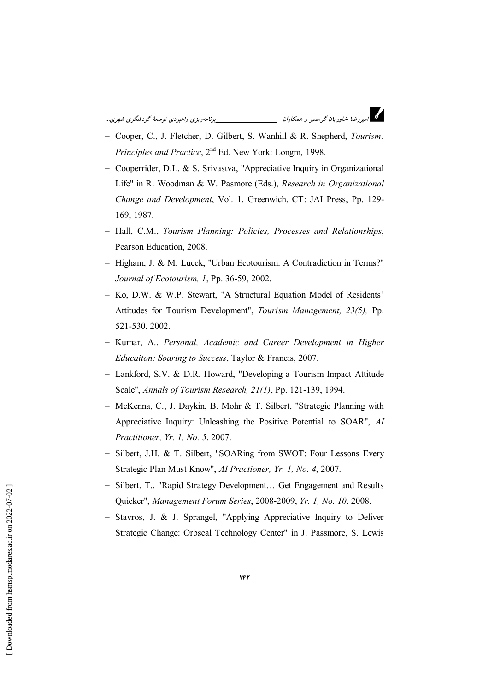- Cooper, C., J. Fletcher, D. Gilbert, S. Wanhill & R. Shepherd, Tourism: Principles and Practice, 2<sup>nd</sup> Ed. New York: Longm, 1998.
- Cooperrider, D.L. & S. Srivastva, "Appreciative Inquiry in Organizational Life" in R. Woodman & W. Pasmore (Eds.), Research in Organizational Change and Development, Vol. 1, Greenwich, CT: JAI Press, Pp. 129-169, 1987.
- Hall, C.M., Tourism Planning: Policies, Processes and Relationships, Pearson Education, 2008.
- Higham, J. & M. Lueck, "Urban Ecotourism: A Contradiction in Terms?" Journal of Ecotourism, 1, Pp. 36-59, 2002.
- Ko. D.W. & W.P. Stewart. "A Structural Equation Model of Residents' Attitudes for Tourism Development", Tourism Management, 23(5), Pp. 521-530, 2002.
- Kumar, A., Personal, Academic and Career Development in Higher Educaiton: Soaring to Success, Taylor & Francis, 2007.
- Lankford, S.V. & D.R. Howard, "Developing a Tourism Impact Attitude Scale", Annals of Tourism Research, 21(1), Pp. 121-139, 1994.
- McKenna, C., J. Daykin, B. Mohr & T. Silbert, "Strategic Planning with Appreciative Inquiry: Unleashing the Positive Potential to SOAR", AI Practitioner, Yr. 1, No. 5, 2007.
- Silbert, J.H. & T. Silbert, "SOARing from SWOT: Four Lessons Every Strategic Plan Must Know", AI Practioner, Yr. 1, No. 4, 2007.
- Silbert, T., "Rapid Strategy Development... Get Engagement and Results Ouicker", Management Forum Series, 2008-2009, Yr. 1, No. 10, 2008.
- Stavros, J. & J. Sprangel, "Applying Appreciative Inquiry to Deliver Strategic Change: Orbseal Technology Center" in J. Passmore, S. Lewis